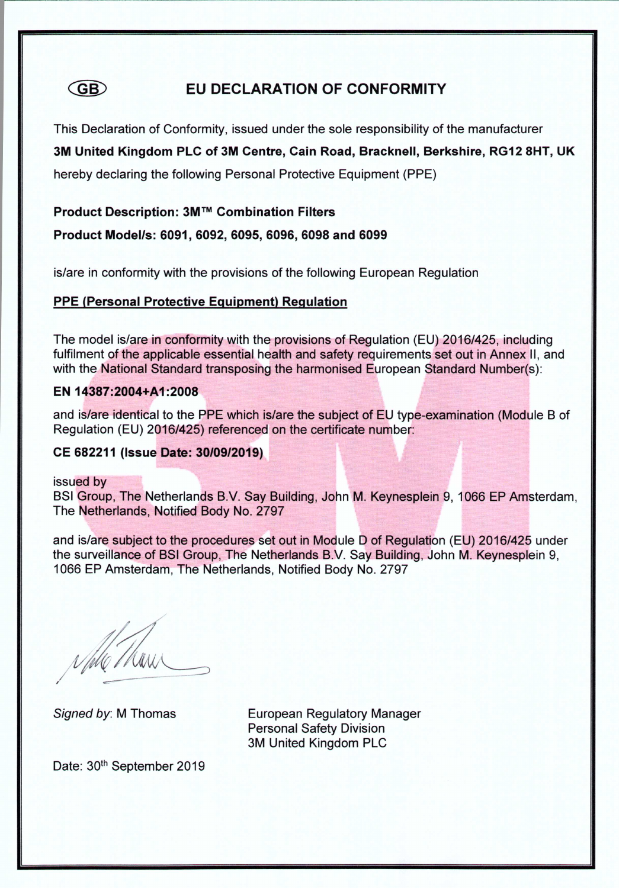#### **GB** EU DECLARATION OF CONFORMITY

This Declaration of Conformity, issued under the sole responsibility of the manufacturer

3M United Kingdom PLC of 3M Centre, Cain Road, Bracknell, Berkshire, RG12 8HT, UK

hereby declaring the following Personal Protective Equipment (PPE)

Product Description: 3M™ Combination Filters

Product Model/s: 6091, 6092, 6095, 6096, 6098 and 6099

is/are in conformity with the provisions of the following European Regulation

# **PPE (Personal Protective Equipment) Regulation**

The model is/are in conformity with the provisions of Regulation (EU) 2016/425, including fulfilment of the applicable essential health and safety requirements set out in Annex II, and with the National Standard transposing the harmonised European Standard Number(s):

#### EN 14387:2004+A1:2008

and is/are identical to the PPE which is/are the subject of EU type-examination (Module B of Regulation (EU) 2016/425) referenced on the certificate number:

# CE 682211 (Issue Date: 30/09/2019)

issued by

BSI Group, The Netherlands B.V. Say Building, John M. Keynesplein 9, 1066 EP Amsterdam, The Netherlands, Notified Body No. 2797

and is/are subject to the procedures set out in Module D of Regulation (EU) 2016/425 under the surveillance of BSI Group, The Netherlands B.V. Say Building, John M. Keynesplein 9, 1066 EP Amsterdam, The Netherlands, Notified Body No. 2797

Signed by: M Thomas

**European Regulatory Manager Personal Safety Division** 3M United Kingdom PLC

Date: 30th September 2019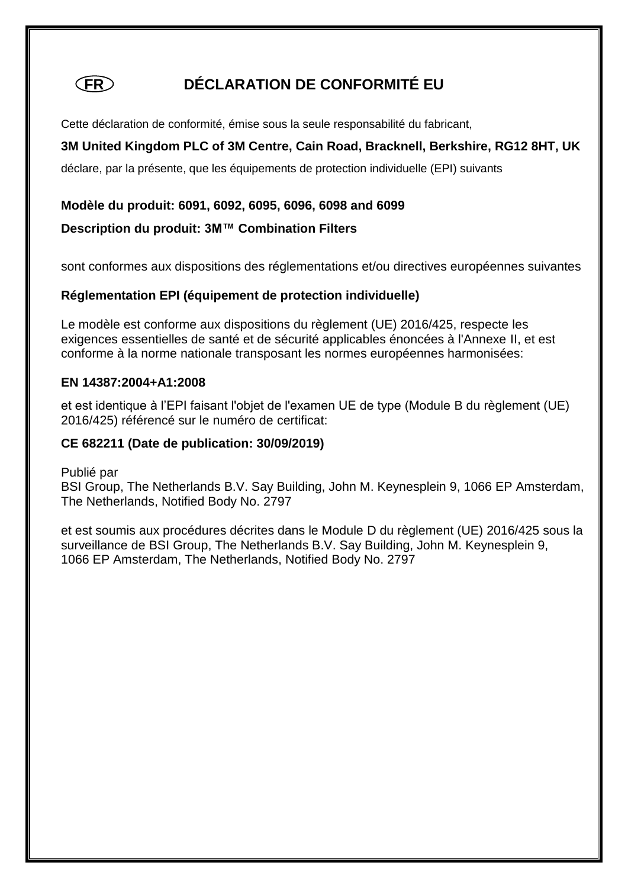# **FR DÉCLARATION DE CONFORMITÉ EU**

Cette déclaration de conformité, émise sous la seule responsabilité du fabricant,

# **3M United Kingdom PLC of 3M Centre, Cain Road, Bracknell, Berkshire, RG12 8HT, UK**

déclare, par la présente, que les équipements de protection individuelle (EPI) suivants

### **Modèle du produit: 6091, 6092, 6095, 6096, 6098 and 6099**

# **Description du produit: 3M™ Combination Filters**

sont conformes aux dispositions des réglementations et/ou directives européennes suivantes

#### **Réglementation EPI (équipement de protection individuelle)**

Le modèle est conforme aux dispositions du règlement (UE) 2016/425, respecte les exigences essentielles de santé et de sécurité applicables énoncées à l'Annexe II, et est conforme à la norme nationale transposant les normes européennes harmonisées:

#### **EN 14387:2004+A1:2008**

et est identique à l'EPI faisant l'objet de l'examen UE de type (Module B du règlement (UE) 2016/425) référencé sur le numéro de certificat:

#### **CE 682211 (Date de publication: 30/09/2019)**

Publié par

BSI Group, The Netherlands B.V. Say Building, John M. Keynesplein 9, 1066 EP Amsterdam, The Netherlands, Notified Body No. 2797

et est soumis aux procédures décrites dans le Module D du règlement (UE) 2016/425 sous la surveillance de BSI Group, The Netherlands B.V. Say Building, John M. Keynesplein 9, 1066 EP Amsterdam, The Netherlands, Notified Body No. 2797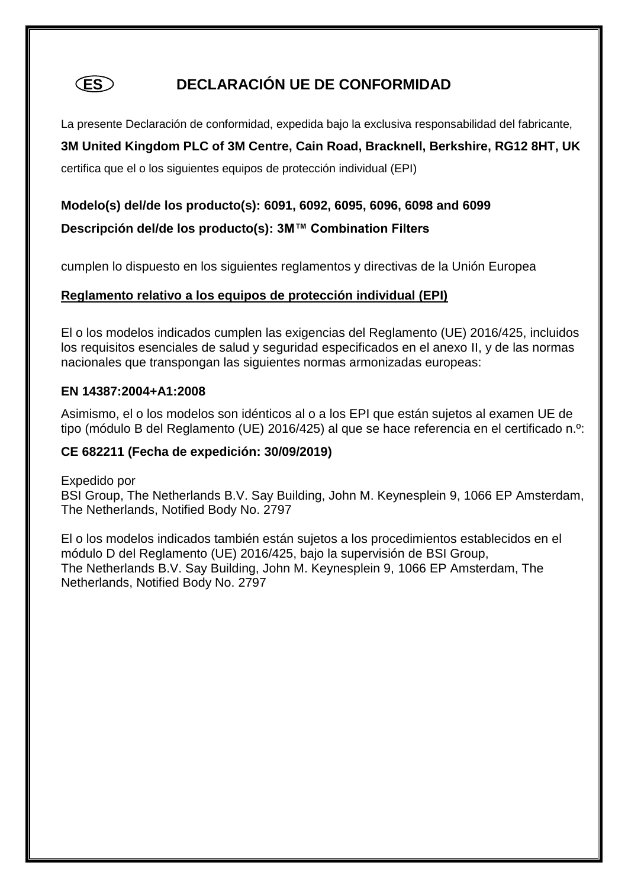# **ES DECLARACIÓN UE DE CONFORMIDAD**

La presente Declaración de conformidad, expedida bajo la exclusiva responsabilidad del fabricante,

# **3M United Kingdom PLC of 3M Centre, Cain Road, Bracknell, Berkshire, RG12 8HT, UK**

certifica que el o los siguientes equipos de protección individual (EPI)

# **Modelo(s) del/de los producto(s): 6091, 6092, 6095, 6096, 6098 and 6099**

# **Descripción del/de los producto(s): 3M™ Combination Filters**

cumplen lo dispuesto en los siguientes reglamentos y directivas de la Unión Europea

# **Reglamento relativo a los equipos de protección individual (EPI)**

El o los modelos indicados cumplen las exigencias del Reglamento (UE) 2016/425, incluidos los requisitos esenciales de salud y seguridad especificados en el anexo II, y de las normas nacionales que transpongan las siguientes normas armonizadas europeas:

#### **EN 14387:2004+A1:2008**

Asimismo, el o los modelos son idénticos al o a los EPI que están sujetos al examen UE de tipo (módulo B del Reglamento (UE) 2016/425) al que se hace referencia en el certificado n.º:

# **CE 682211 (Fecha de expedición: 30/09/2019)**

Expedido por BSI Group, The Netherlands B.V. Say Building, John M. Keynesplein 9, 1066 EP Amsterdam, The Netherlands, Notified Body No. 2797

El o los modelos indicados también están sujetos a los procedimientos establecidos en el módulo D del Reglamento (UE) 2016/425, bajo la supervisión de BSI Group, The Netherlands B.V. Say Building, John M. Keynesplein 9, 1066 EP Amsterdam, The Netherlands, Notified Body No. 2797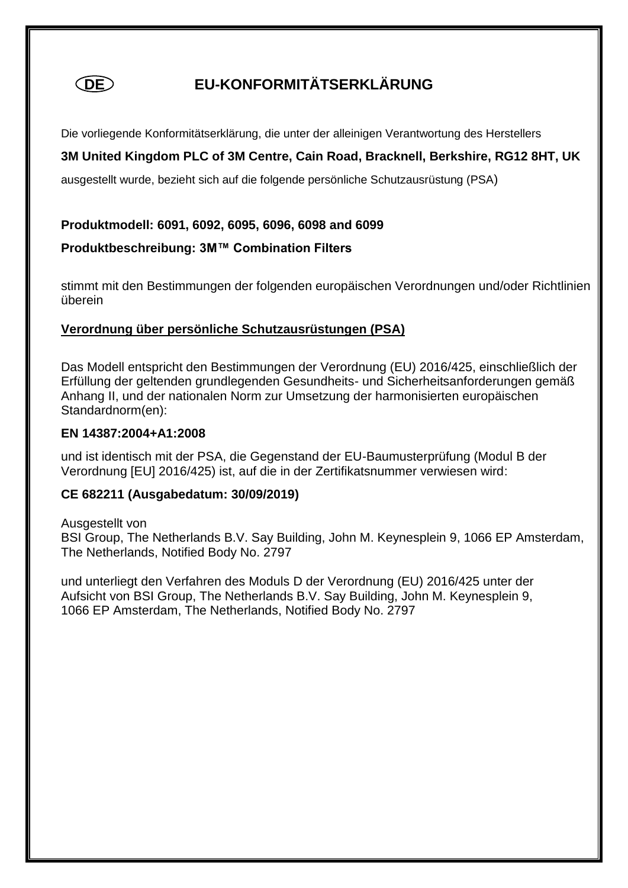

# **DE EU-KONFORMITÄTSERKLÄRUNG**

Die vorliegende Konformitätserklärung, die unter der alleinigen Verantwortung des Herstellers

**3M United Kingdom PLC of 3M Centre, Cain Road, Bracknell, Berkshire, RG12 8HT, UK** 

ausgestellt wurde, bezieht sich auf die folgende persönliche Schutzausrüstung (PSA)

#### **Produktmodell: 6091, 6092, 6095, 6096, 6098 and 6099**

**Produktbeschreibung: 3M™ Combination Filters**

stimmt mit den Bestimmungen der folgenden europäischen Verordnungen und/oder Richtlinien überein

#### **Verordnung über persönliche Schutzausrüstungen (PSA)**

Das Modell entspricht den Bestimmungen der Verordnung (EU) 2016/425, einschließlich der Erfüllung der geltenden grundlegenden Gesundheits- und Sicherheitsanforderungen gemäß Anhang II, und der nationalen Norm zur Umsetzung der harmonisierten europäischen Standardnorm(en):

#### **EN 14387:2004+A1:2008**

und ist identisch mit der PSA, die Gegenstand der EU-Baumusterprüfung (Modul B der Verordnung [EU] 2016/425) ist, auf die in der Zertifikatsnummer verwiesen wird:

# **CE 682211 (Ausgabedatum: 30/09/2019)**

Ausgestellt von BSI Group, The Netherlands B.V. Say Building, John M. Keynesplein 9, 1066 EP Amsterdam, The Netherlands, Notified Body No. 2797

und unterliegt den Verfahren des Moduls D der Verordnung (EU) 2016/425 unter der Aufsicht von BSI Group, The Netherlands B.V. Say Building, John M. Keynesplein 9, 1066 EP Amsterdam, The Netherlands, Notified Body No. 2797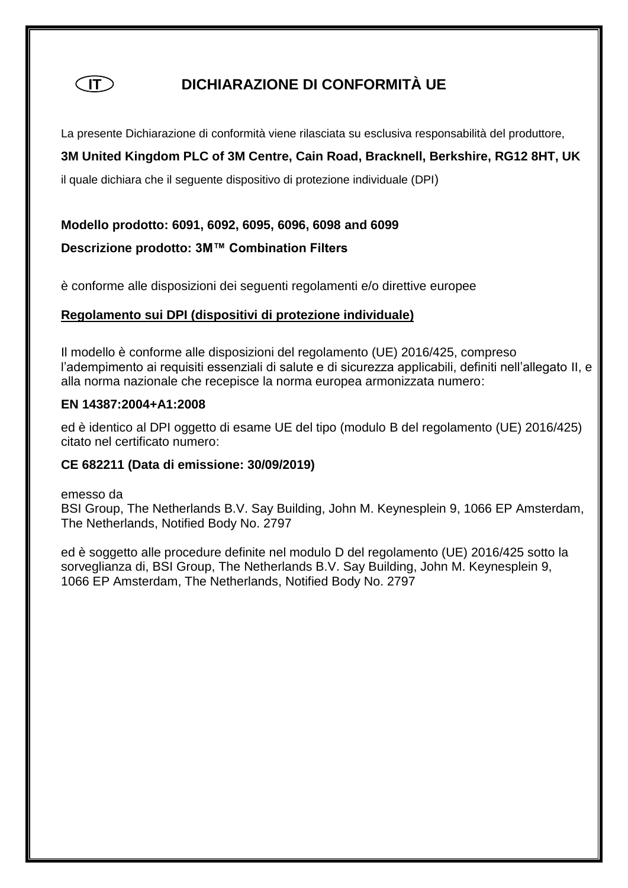

# **IT DICHIARAZIONE DI CONFORMITÀ UE**

La presente Dichiarazione di conformità viene rilasciata su esclusiva responsabilità del produttore,

# **3M United Kingdom PLC of 3M Centre, Cain Road, Bracknell, Berkshire, RG12 8HT, UK**

il quale dichiara che il seguente dispositivo di protezione individuale (DPI)

#### **Modello prodotto: 6091, 6092, 6095, 6096, 6098 and 6099**

#### **Descrizione prodotto: 3M™ Combination Filters**

è conforme alle disposizioni dei seguenti regolamenti e/o direttive europee

#### **Regolamento sui DPI (dispositivi di protezione individuale)**

Il modello è conforme alle disposizioni del regolamento (UE) 2016/425, compreso l'adempimento ai requisiti essenziali di salute e di sicurezza applicabili, definiti nell'allegato II, e alla norma nazionale che recepisce la norma europea armonizzata numero:

#### **EN 14387:2004+A1:2008**

ed è identico al DPI oggetto di esame UE del tipo (modulo B del regolamento (UE) 2016/425) citato nel certificato numero:

#### **CE 682211 (Data di emissione: 30/09/2019)**

emesso da BSI Group, The Netherlands B.V. Say Building, John M. Keynesplein 9, 1066 EP Amsterdam, The Netherlands, Notified Body No. 2797

ed è soggetto alle procedure definite nel modulo D del regolamento (UE) 2016/425 sotto la sorveglianza di, BSI Group, The Netherlands B.V. Say Building, John M. Keynesplein 9, 1066 EP Amsterdam, The Netherlands, Notified Body No. 2797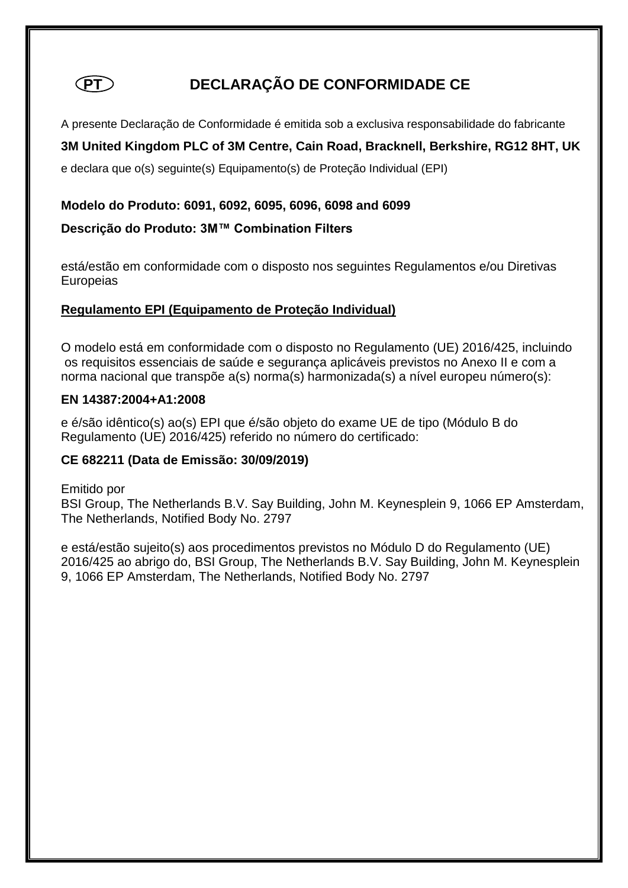

# **PT** DECLARAÇÃO DE CONFORMIDADE CE

A presente Declaração de Conformidade é emitida sob a exclusiva responsabilidade do fabricante

# **3M United Kingdom PLC of 3M Centre, Cain Road, Bracknell, Berkshire, RG12 8HT, UK**

e declara que o(s) seguinte(s) Equipamento(s) de Proteção Individual (EPI)

#### **Modelo do Produto: 6091, 6092, 6095, 6096, 6098 and 6099**

#### **Descrição do Produto: 3M™ Combination Filters**

está/estão em conformidade com o disposto nos seguintes Regulamentos e/ou Diretivas **Europeias** 

#### **Regulamento EPI (Equipamento de Proteção Individual)**

O modelo está em conformidade com o disposto no Regulamento (UE) 2016/425, incluindo os requisitos essenciais de saúde e segurança aplicáveis previstos no Anexo II e com a norma nacional que transpõe a(s) norma(s) harmonizada(s) a nível europeu número(s):

#### **EN 14387:2004+A1:2008**

e é/são idêntico(s) ao(s) EPI que é/são objeto do exame UE de tipo (Módulo B do Regulamento (UE) 2016/425) referido no número do certificado:

#### **CE 682211 (Data de Emissão: 30/09/2019)**

Emitido por BSI Group, The Netherlands B.V. Say Building, John M. Keynesplein 9, 1066 EP Amsterdam, The Netherlands, Notified Body No. 2797

e está/estão sujeito(s) aos procedimentos previstos no Módulo D do Regulamento (UE) 2016/425 ao abrigo do, BSI Group, The Netherlands B.V. Say Building, John M. Keynesplein 9, 1066 EP Amsterdam, The Netherlands, Notified Body No. 2797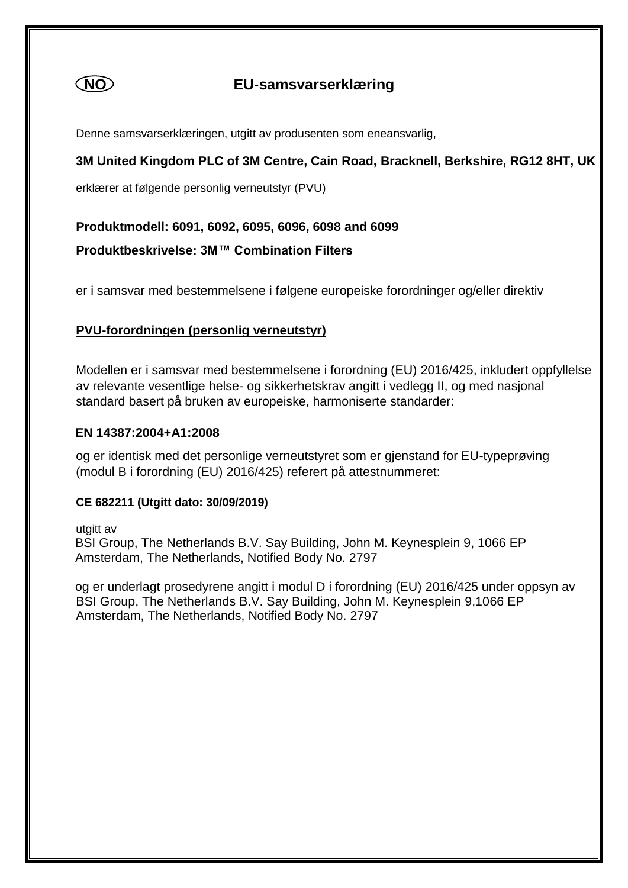

# **NO EU-samsvarserklæring**

Denne samsvarserklæringen, utgitt av produsenten som eneansvarlig,

### **3M United Kingdom PLC of 3M Centre, Cain Road, Bracknell, Berkshire, RG12 8HT, UK**

erklærer at følgende personlig verneutstyr (PVU)

#### **Produktmodell: 6091, 6092, 6095, 6096, 6098 and 6099**

**Produktbeskrivelse: 3M™ Combination Filters**

er i samsvar med bestemmelsene i følgene europeiske forordninger og/eller direktiv

#### **PVU-forordningen (personlig verneutstyr)**

Modellen er i samsvar med bestemmelsene i forordning (EU) 2016/425, inkludert oppfyllelse av relevante vesentlige helse- og sikkerhetskrav angitt i vedlegg II, og med nasjonal standard basert på bruken av europeiske, harmoniserte standarder:

#### **EN 14387:2004+A1:2008**

og er identisk med det personlige verneutstyret som er gjenstand for EU-typeprøving (modul B i forordning (EU) 2016/425) referert på attestnummeret:

#### **CE 682211 (Utgitt dato: 30/09/2019)**

utgitt av

 BSI Group, The Netherlands B.V. Say Building, John M. Keynesplein 9, 1066 EP Amsterdam, The Netherlands, Notified Body No. 2797

 og er underlagt prosedyrene angitt i modul D i forordning (EU) 2016/425 under oppsyn av BSI Group, The Netherlands B.V. Say Building, John M. Keynesplein 9,1066 EP Amsterdam, The Netherlands, Notified Body No. 2797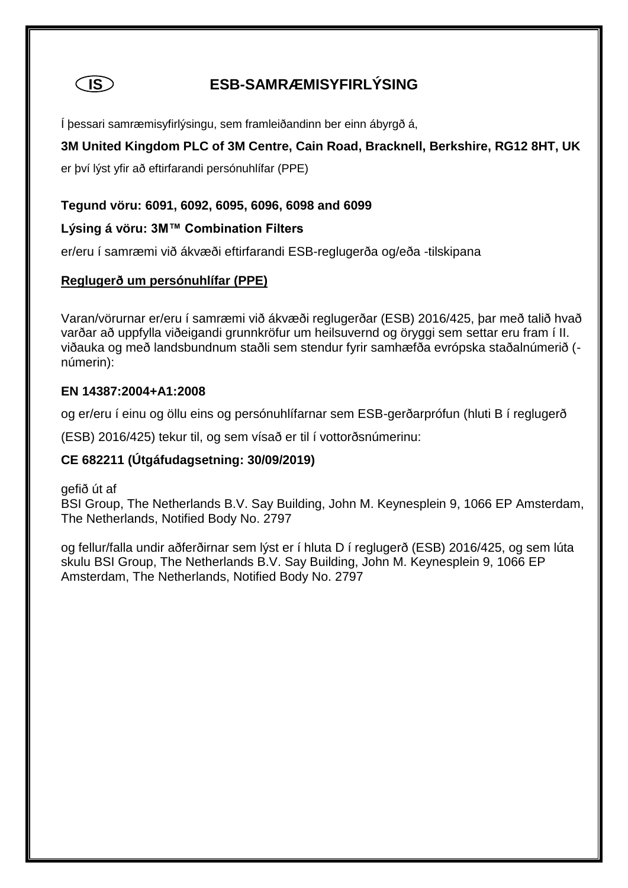

# **IS ESB-SAMRÆMISYFIRLÝSING**

Í þessari samræmisyfirlýsingu, sem framleiðandinn ber einn ábyrgð á,

# **3M United Kingdom PLC of 3M Centre, Cain Road, Bracknell, Berkshire, RG12 8HT, UK**

er því lýst yfir að eftirfarandi persónuhlífar (PPE)

# **Tegund vöru: 6091, 6092, 6095, 6096, 6098 and 6099**

# **Lýsing á vöru: 3M™ Combination Filters**

er/eru í samræmi við ákvæði eftirfarandi ESB-reglugerða og/eða -tilskipana

#### **Reglugerð um persónuhlífar (PPE)**

Varan/vörurnar er/eru í samræmi við ákvæði reglugerðar (ESB) 2016/425, þar með talið hvað varðar að uppfylla viðeigandi grunnkröfur um heilsuvernd og öryggi sem settar eru fram í II. viðauka og með landsbundnum staðli sem stendur fyrir samhæfða evrópska staðalnúmerið ( númerin):

#### **EN 14387:2004+A1:2008**

og er/eru í einu og öllu eins og persónuhlífarnar sem ESB-gerðarprófun (hluti B í reglugerð

(ESB) 2016/425) tekur til, og sem vísað er til í vottorðsnúmerinu:

# **CE 682211 (Útgáfudagsetning: 30/09/2019)**

gefið út af

BSI Group, The Netherlands B.V. Say Building, John M. Keynesplein 9, 1066 EP Amsterdam, The Netherlands, Notified Body No. 2797

og fellur/falla undir aðferðirnar sem lýst er í hluta D í reglugerð (ESB) 2016/425, og sem lúta skulu BSI Group, The Netherlands B.V. Say Building, John M. Keynesplein 9, 1066 EP Amsterdam, The Netherlands, Notified Body No. 2797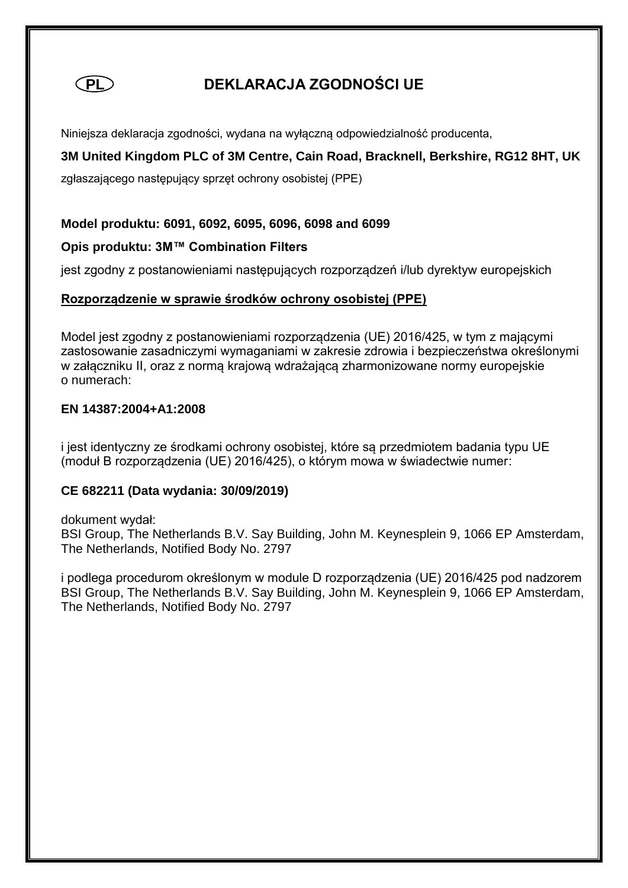

# **PL DEKLARACJA ZGODNOŚCI UE**

Niniejsza deklaracja zgodności, wydana na wyłączną odpowiedzialność producenta,

# **3M United Kingdom PLC of 3M Centre, Cain Road, Bracknell, Berkshire, RG12 8HT, UK**

zgłaszającego następujący sprzęt ochrony osobistej (PPE)

#### **Model produktu: 6091, 6092, 6095, 6096, 6098 and 6099**

#### **Opis produktu: 3M™ Combination Filters**

jest zgodny z postanowieniami następujących rozporządzeń i/lub dyrektyw europejskich

#### **Rozporządzenie w sprawie środków ochrony osobistej (PPE)**

Model jest zgodny z postanowieniami rozporządzenia (UE) 2016/425, w tym z mającymi zastosowanie zasadniczymi wymaganiami w zakresie zdrowia i bezpieczeństwa określonymi w załączniku II, oraz z normą krajową wdrażającą zharmonizowane normy europejskie o numerach:

#### **EN 14387:2004+A1:2008**

i jest identyczny ze środkami ochrony osobistej, które są przedmiotem badania typu UE (moduł B rozporządzenia (UE) 2016/425), o którym mowa w świadectwie numer:

#### **CE 682211 (Data wydania: 30/09/2019)**

dokument wydał: BSI Group, The Netherlands B.V. Say Building, John M. Keynesplein 9, 1066 EP Amsterdam, The Netherlands, Notified Body No. 2797

i podlega procedurom określonym w module D rozporządzenia (UE) 2016/425 pod nadzorem BSI Group, The Netherlands B.V. Say Building, John M. Keynesplein 9, 1066 EP Amsterdam, The Netherlands, Notified Body No. 2797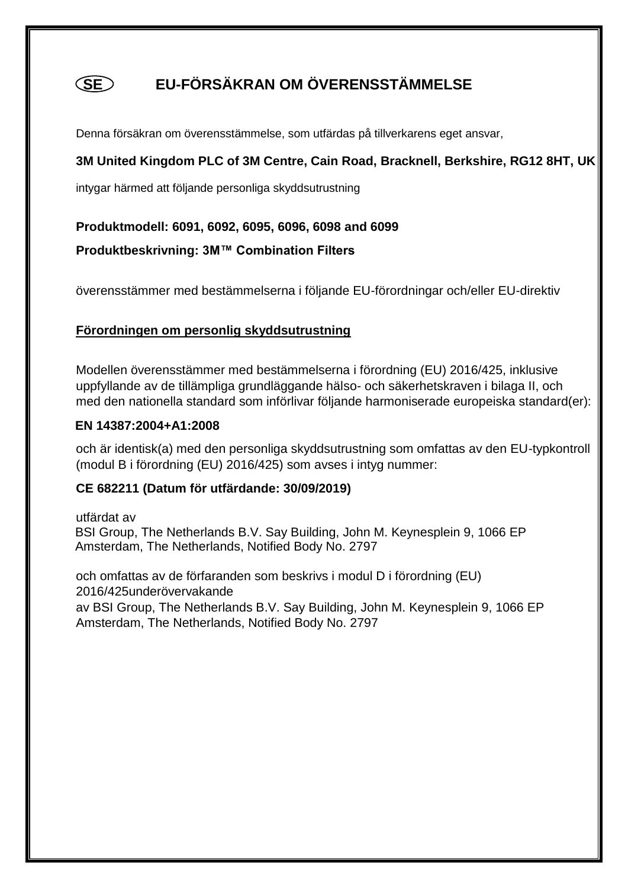# **SE EU-FÖRSÄKRAN OM ÖVERENSSTÄMMELSE**

Denna försäkran om överensstämmelse, som utfärdas på tillverkarens eget ansvar,

# **3M United Kingdom PLC of 3M Centre, Cain Road, Bracknell, Berkshire, RG12 8HT, UK**

intygar härmed att följande personliga skyddsutrustning

### **Produktmodell: 6091, 6092, 6095, 6096, 6098 and 6099**

**Produktbeskrivning: 3M™ Combination Filters**

överensstämmer med bestämmelserna i följande EU-förordningar och/eller EU-direktiv

# **Förordningen om personlig skyddsutrustning**

Modellen överensstämmer med bestämmelserna i förordning (EU) 2016/425, inklusive uppfyllande av de tillämpliga grundläggande hälso- och säkerhetskraven i bilaga II, och med den nationella standard som införlivar följande harmoniserade europeiska standard(er):

#### **EN 14387:2004+A1:2008**

och är identisk(a) med den personliga skyddsutrustning som omfattas av den EU-typkontroll (modul B i förordning (EU) 2016/425) som avses i intyg nummer:

#### **CE 682211 (Datum för utfärdande: 30/09/2019)**

utfärdat av BSI Group, The Netherlands B.V. Say Building, John M. Keynesplein 9, 1066 EP Amsterdam, The Netherlands, Notified Body No. 2797

och omfattas av de förfaranden som beskrivs i modul D i förordning (EU) 2016/425underövervakande

av BSI Group, The Netherlands B.V. Say Building, John M. Keynesplein 9, 1066 EP Amsterdam, The Netherlands, Notified Body No. 2797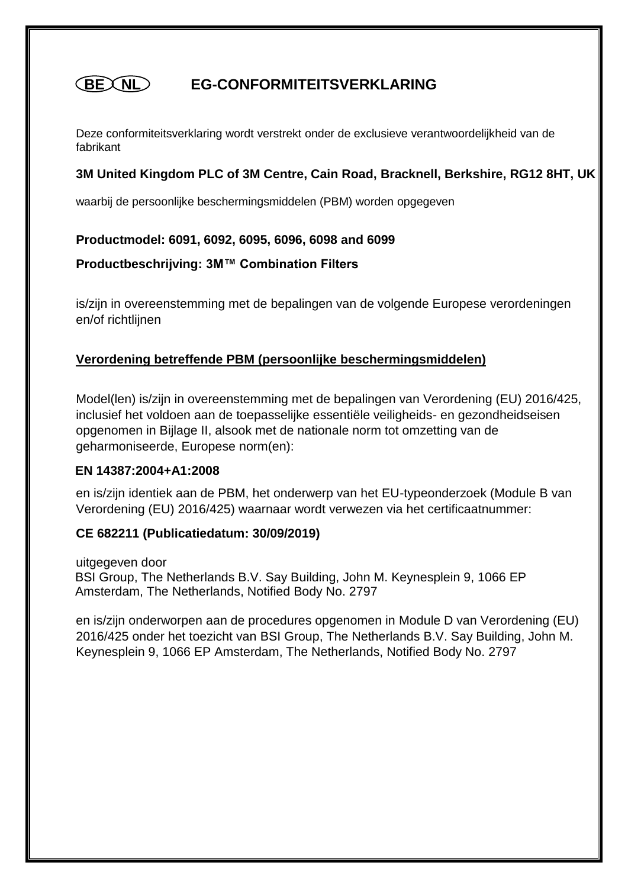#### **EG-CONFORMITEITSVERKLARING (BEXNL)**

Deze conformiteitsverklaring wordt verstrekt onder de exclusieve verantwoordelijkheid van de fabrikant

# **3M United Kingdom PLC of 3M Centre, Cain Road, Bracknell, Berkshire, RG12 8HT, UK**

waarbij de persoonlijke beschermingsmiddelen (PBM) worden opgegeven

#### **Productmodel: 6091, 6092, 6095, 6096, 6098 and 6099**

**Productbeschrijving: 3M™ Combination Filters**

is/zijn in overeenstemming met de bepalingen van de volgende Europese verordeningen en/of richtlijnen

# **Verordening betreffende PBM (persoonlijke beschermingsmiddelen)**

Model(len) is/zijn in overeenstemming met de bepalingen van Verordening (EU) 2016/425, inclusief het voldoen aan de toepasselijke essentiële veiligheids- en gezondheidseisen opgenomen in Bijlage II, alsook met de nationale norm tot omzetting van de geharmoniseerde, Europese norm(en):

#### **EN 14387:2004+A1:2008**

en is/zijn identiek aan de PBM, het onderwerp van het EU-typeonderzoek (Module B van Verordening (EU) 2016/425) waarnaar wordt verwezen via het certificaatnummer:

# **CE 682211 (Publicatiedatum: 30/09/2019)**

uitgegeven door BSI Group, The Netherlands B.V. Say Building, John M. Keynesplein 9, 1066 EP Amsterdam, The Netherlands, Notified Body No. 2797

en is/zijn onderworpen aan de procedures opgenomen in Module D van Verordening (EU) 2016/425 onder het toezicht van BSI Group, The Netherlands B.V. Say Building, John M. Keynesplein 9, 1066 EP Amsterdam, The Netherlands, Notified Body No. 2797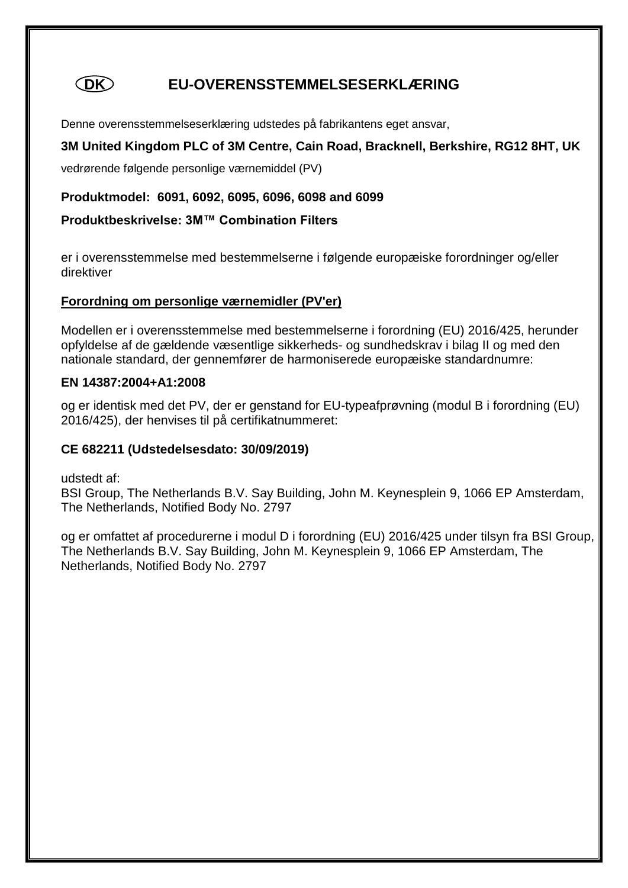

# **DK EU-OVERENSSTEMMELSESERKLÆRING**

Denne overensstemmelseserklæring udstedes på fabrikantens eget ansvar,

# **3M United Kingdom PLC of 3M Centre, Cain Road, Bracknell, Berkshire, RG12 8HT, UK**

vedrørende følgende personlige værnemiddel (PV)

#### **Produktmodel: 6091, 6092, 6095, 6096, 6098 and 6099**

#### **Produktbeskrivelse: 3M™ Combination Filters**

er i overensstemmelse med bestemmelserne i følgende europæiske forordninger og/eller direktiver

#### **Forordning om personlige værnemidler (PV'er)**

Modellen er i overensstemmelse med bestemmelserne i forordning (EU) 2016/425, herunder opfyldelse af de gældende væsentlige sikkerheds- og sundhedskrav i bilag II og med den nationale standard, der gennemfører de harmoniserede europæiske standardnumre:

#### **EN 14387:2004+A1:2008**

og er identisk med det PV, der er genstand for EU-typeafprøvning (modul B i forordning (EU) 2016/425), der henvises til på certifikatnummeret:

#### **CE 682211 (Udstedelsesdato: 30/09/2019)**

udstedt af:

BSI Group, The Netherlands B.V. Say Building, John M. Keynesplein 9, 1066 EP Amsterdam, The Netherlands, Notified Body No. 2797

og er omfattet af procedurerne i modul D i forordning (EU) 2016/425 under tilsyn fra BSI Group, The Netherlands B.V. Say Building, John M. Keynesplein 9, 1066 EP Amsterdam, The Netherlands, Notified Body No. 2797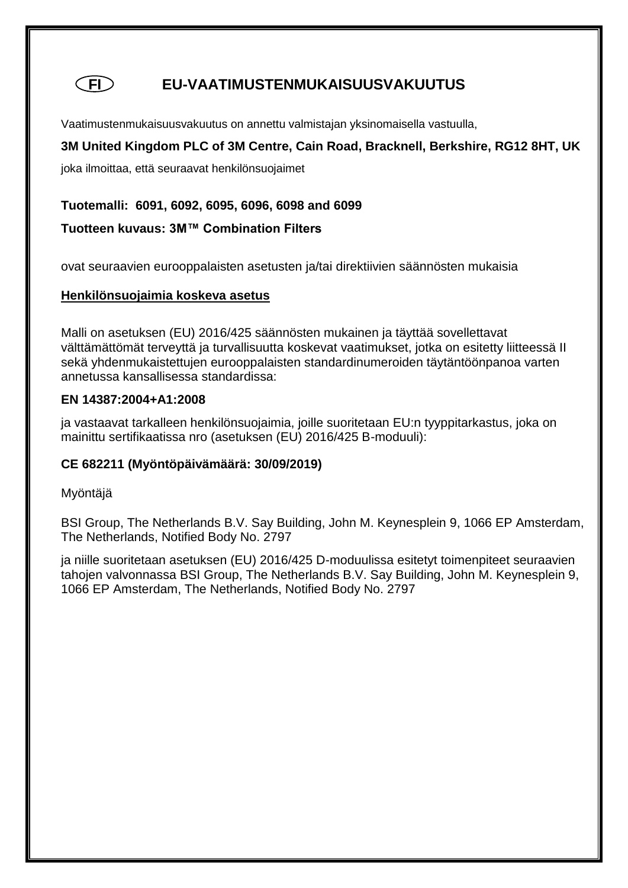# **FI EU-VAATIMUSTENMUKAISUUSVAKUUTUS**

Vaatimustenmukaisuusvakuutus on annettu valmistajan yksinomaisella vastuulla,

# **3M United Kingdom PLC of 3M Centre, Cain Road, Bracknell, Berkshire, RG12 8HT, UK**

joka ilmoittaa, että seuraavat henkilönsuojaimet

#### **Tuotemalli: 6091, 6092, 6095, 6096, 6098 and 6099**

#### **Tuotteen kuvaus: 3M™ Combination Filters**

ovat seuraavien eurooppalaisten asetusten ja/tai direktiivien säännösten mukaisia

#### **Henkilönsuojaimia koskeva asetus**

Malli on asetuksen (EU) 2016/425 säännösten mukainen ja täyttää sovellettavat välttämättömät terveyttä ja turvallisuutta koskevat vaatimukset, jotka on esitetty liitteessä II sekä yhdenmukaistettujen eurooppalaisten standardinumeroiden täytäntöönpanoa varten annetussa kansallisessa standardissa:

#### **EN 14387:2004+A1:2008**

ja vastaavat tarkalleen henkilönsuojaimia, joille suoritetaan EU:n tyyppitarkastus, joka on mainittu sertifikaatissa nro (asetuksen (EU) 2016/425 B-moduuli):

# **CE 682211 (Myöntöpäivämäärä: 30/09/2019)**

#### Myöntäjä

BSI Group, The Netherlands B.V. Say Building, John M. Keynesplein 9, 1066 EP Amsterdam, The Netherlands, Notified Body No. 2797

ja niille suoritetaan asetuksen (EU) 2016/425 D-moduulissa esitetyt toimenpiteet seuraavien tahojen valvonnassa BSI Group, The Netherlands B.V. Say Building, John M. Keynesplein 9, 1066 EP Amsterdam, The Netherlands, Notified Body No. 2797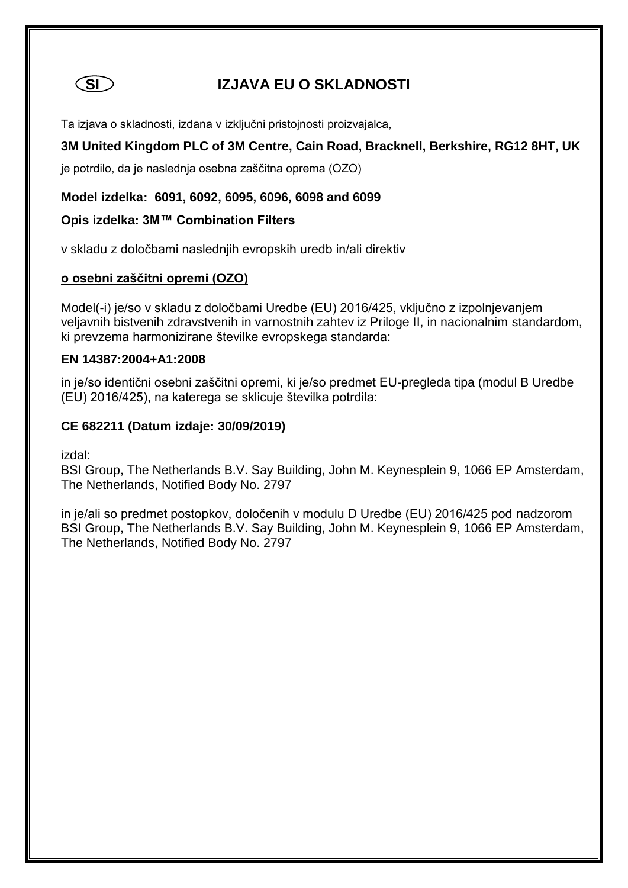

# **SI IZJAVA EU O SKLADNOSTI**

Ta izjava o skladnosti, izdana v izključni pristojnosti proizvajalca,

# **3M United Kingdom PLC of 3M Centre, Cain Road, Bracknell, Berkshire, RG12 8HT, UK**

je potrdilo, da je naslednja osebna zaščitna oprema (OZO)

#### **Model izdelka: 6091, 6092, 6095, 6096, 6098 and 6099**

#### **Opis izdelka: 3M™ Combination Filters**

v skladu z določbami naslednjih evropskih uredb in/ali direktiv

#### **o osebni zaščitni opremi (OZO)**

Model(-i) je/so v skladu z določbami Uredbe (EU) 2016/425, vključno z izpolnjevanjem veljavnih bistvenih zdravstvenih in varnostnih zahtev iz Priloge II, in nacionalnim standardom, ki prevzema harmonizirane številke evropskega standarda:

#### **EN 14387:2004+A1:2008**

in je/so identični osebni zaščitni opremi, ki je/so predmet EU-pregleda tipa (modul B Uredbe (EU) 2016/425), na katerega se sklicuje številka potrdila:

#### **CE 682211 (Datum izdaje: 30/09/2019)**

izdal:

BSI Group, The Netherlands B.V. Say Building, John M. Keynesplein 9, 1066 EP Amsterdam, The Netherlands, Notified Body No. 2797

in je/ali so predmet postopkov, določenih v modulu D Uredbe (EU) 2016/425 pod nadzorom BSI Group, The Netherlands B.V. Say Building, John M. Keynesplein 9, 1066 EP Amsterdam, The Netherlands, Notified Body No. 2797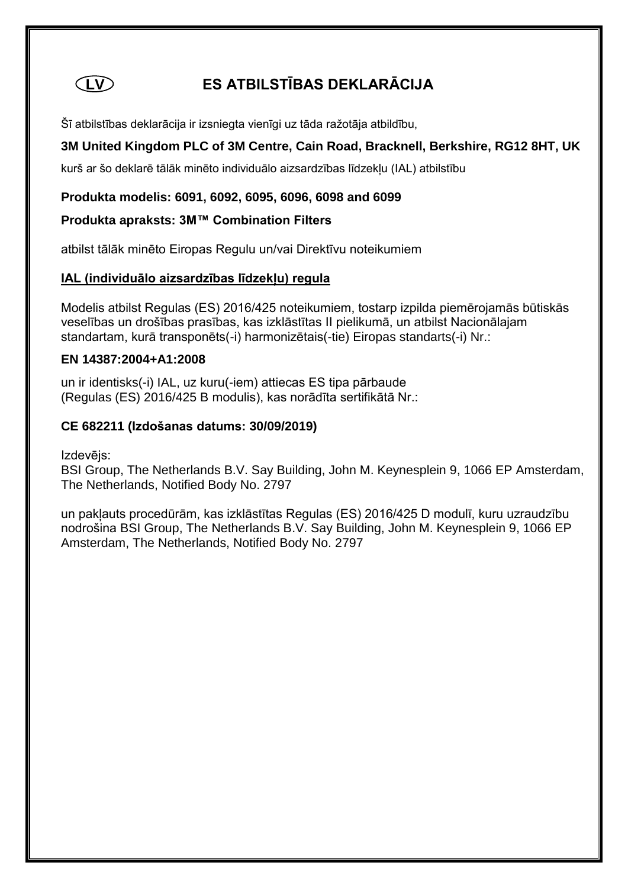

# **LV ES ATBILSTĪBAS DEKLARĀCIJA**

Šī atbilstības deklarācija ir izsniegta vienīgi uz tāda ražotāja atbildību,

# **3M United Kingdom PLC of 3M Centre, Cain Road, Bracknell, Berkshire, RG12 8HT, UK**

kurš ar šo deklarē tālāk minēto individuālo aizsardzības līdzekļu (IAL) atbilstību

**Produkta modelis: 6091, 6092, 6095, 6096, 6098 and 6099**

#### **Produkta apraksts: 3M™ Combination Filters**

atbilst tālāk minēto Eiropas Regulu un/vai Direktīvu noteikumiem

#### **IAL (individuālo aizsardzības līdzekļu) regula**

Modelis atbilst Regulas (ES) 2016/425 noteikumiem, tostarp izpilda piemērojamās būtiskās veselības un drošības prasības, kas izklāstītas II pielikumā, un atbilst Nacionālajam standartam, kurā transponēts(-i) harmonizētais(-tie) Eiropas standarts(-i) Nr.:

#### **EN 14387:2004+A1:2008**

un ir identisks(-i) IAL, uz kuru(-iem) attiecas ES tipa pārbaude (Regulas (ES) 2016/425 B modulis), kas norādīta sertifikātā Nr.:

#### **CE 682211 (Izdošanas datums: 30/09/2019)**

Izdevējs:

BSI Group, The Netherlands B.V. Say Building, John M. Keynesplein 9, 1066 EP Amsterdam, The Netherlands, Notified Body No. 2797

un pakļauts procedūrām, kas izklāstītas Regulas (ES) 2016/425 D modulī, kuru uzraudzību nodrošina BSI Group, The Netherlands B.V. Say Building, John M. Keynesplein 9, 1066 EP Amsterdam, The Netherlands, Notified Body No. 2797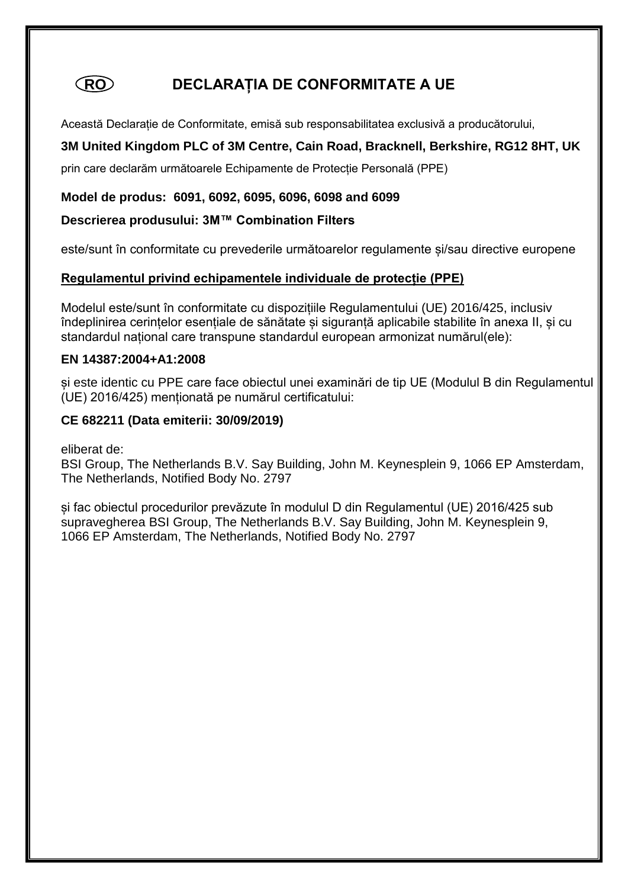# **RO DECLARAȚIA DE CONFORMITATE A UE**

Această Declarație de Conformitate, emisă sub responsabilitatea exclusivă a producătorului,

# **3M United Kingdom PLC of 3M Centre, Cain Road, Bracknell, Berkshire, RG12 8HT, UK**

prin care declarăm următoarele Echipamente de Protecție Personală (PPE)

#### **Model de produs: 6091, 6092, 6095, 6096, 6098 and 6099**

#### **Descrierea produsului: 3M™ Combination Filters**

este/sunt în conformitate cu prevederile următoarelor regulamente și/sau directive europene

#### **Regulamentul privind echipamentele individuale de protecție (PPE)**

Modelul este/sunt în conformitate cu dispozițiile Regulamentului (UE) 2016/425, inclusiv îndeplinirea cerințelor esențiale de sănătate și siguranță aplicabile stabilite în anexa II, și cu standardul național care transpune standardul european armonizat numărul(ele):

#### **EN 14387:2004+A1:2008**

și este identic cu PPE care face obiectul unei examinări de tip UE (Modulul B din Regulamentul (UE) 2016/425) menționată pe numărul certificatului:

#### **CE 682211 (Data emiterii: 30/09/2019)**

eliberat de:

BSI Group, The Netherlands B.V. Say Building, John M. Keynesplein 9, 1066 EP Amsterdam, The Netherlands, Notified Body No. 2797

și fac obiectul procedurilor prevăzute în modulul D din Regulamentul (UE) 2016/425 sub supravegherea BSI Group, The Netherlands B.V. Say Building, John M. Keynesplein 9, 1066 EP Amsterdam, The Netherlands, Notified Body No. 2797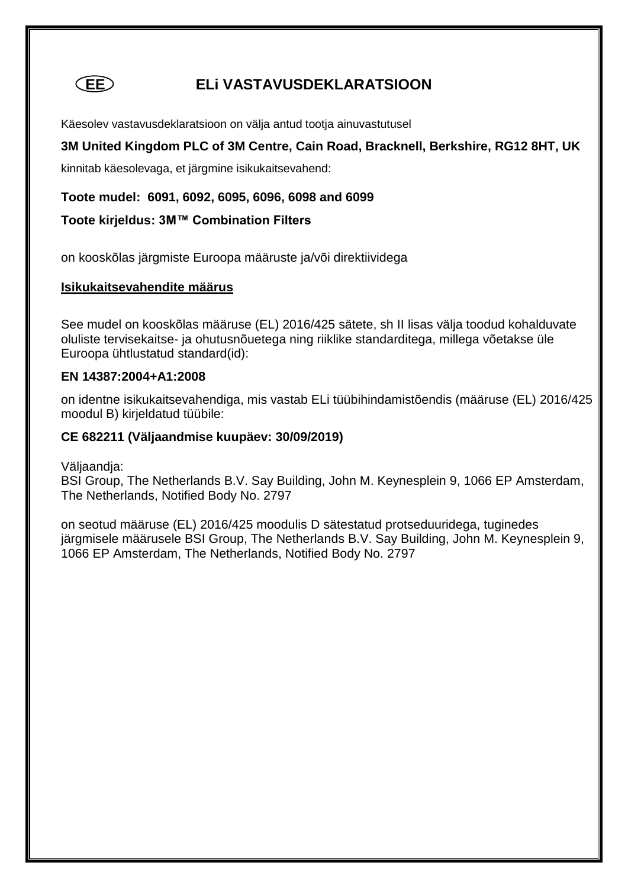

# **EE ELi VASTAVUSDEKLARATSIOON**

Käesolev vastavusdeklaratsioon on välja antud tootja ainuvastutusel

**3M United Kingdom PLC of 3M Centre, Cain Road, Bracknell, Berkshire, RG12 8HT, UK** 

kinnitab käesolevaga, et järgmine isikukaitsevahend:

**Toote mudel: 6091, 6092, 6095, 6096, 6098 and 6099**

#### **Toote kirjeldus: 3M™ Combination Filters**

on kooskõlas järgmiste Euroopa määruste ja/või direktiividega

#### **Isikukaitsevahendite määrus**

See mudel on kooskõlas määruse (EL) 2016/425 sätete, sh II lisas välja toodud kohalduvate oluliste tervisekaitse- ja ohutusnõuetega ning riiklike standarditega, millega võetakse üle Euroopa ühtlustatud standard(id):

#### **EN 14387:2004+A1:2008**

on identne isikukaitsevahendiga, mis vastab ELi tüübihindamistõendis (määruse (EL) 2016/425 moodul B) kirjeldatud tüübile:

#### **CE 682211 (Väljaandmise kuupäev: 30/09/2019)**

Väljaandja:

BSI Group, The Netherlands B.V. Say Building, John M. Keynesplein 9, 1066 EP Amsterdam, The Netherlands, Notified Body No. 2797

on seotud määruse (EL) 2016/425 moodulis D sätestatud protseduuridega, tuginedes järgmisele määrusele BSI Group, The Netherlands B.V. Say Building, John M. Keynesplein 9, 1066 EP Amsterdam, The Netherlands, Notified Body No. 2797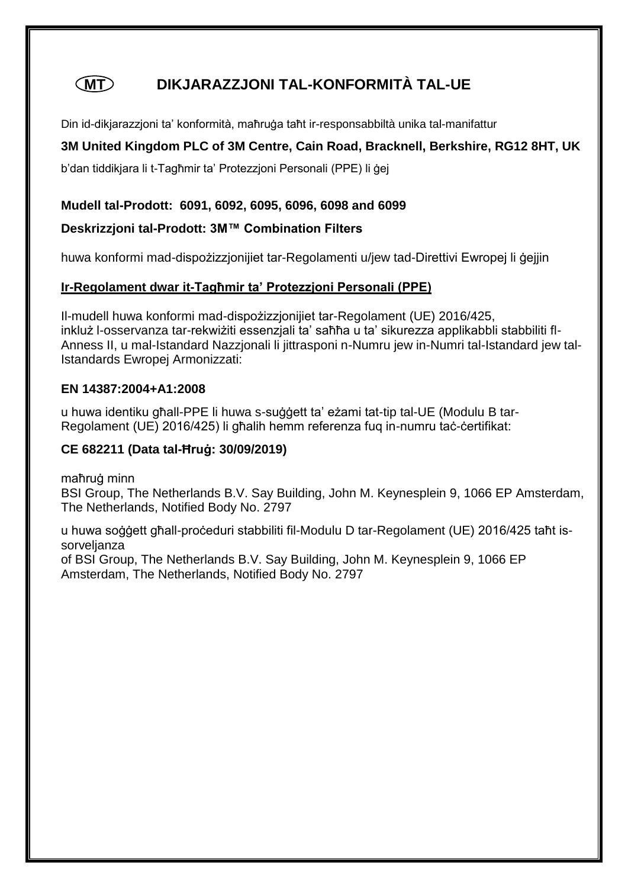# **MT DIKJARAZZJONI TAL-KONFORMITÀ TAL-UE**

Din id-dikjarazzjoni ta' konformità, maħruġa taħt ir-responsabbiltà unika tal-manifattur

# **3M United Kingdom PLC of 3M Centre, Cain Road, Bracknell, Berkshire, RG12 8HT, UK**

b'dan tiddikjara li t-Tagħmir ta' Protezzjoni Personali (PPE) li ġej

### **Mudell tal-Prodott: 6091, 6092, 6095, 6096, 6098 and 6099**

### **Deskrizzjoni tal-Prodott: 3M™ Combination Filters**

huwa konformi mad-dispożizzjonijiet tar-Regolamenti u/jew tad-Direttivi Ewropej li ġejjin

# **Ir-Regolament dwar it-Tagħmir ta' Protezzjoni Personali (PPE)**

Il-mudell huwa konformi mad-dispożizzjonijiet tar-Regolament (UE) 2016/425, inkluż l-osservanza tar-rekwiżiti essenzjali ta' saħħa u ta' sikurezza applikabbli stabbiliti fl-Anness II, u mal-Istandard Nazzjonali li jittrasponi n-Numru jew in-Numri tal-Istandard jew tal-Istandards Ewropej Armonizzati:

#### **EN 14387:2004+A1:2008**

u huwa identiku għall-PPE li huwa s-suġġett ta' eżami tat-tip tal-UE (Modulu B tar-Regolament (UE) 2016/425) li għalih hemm referenza fuq in-numru taċ-ċertifikat:

# **CE 682211 (Data tal-Ħruġ: 30/09/2019)**

maħruġ minn

BSI Group, The Netherlands B.V. Say Building, John M. Keynesplein 9, 1066 EP Amsterdam, The Netherlands, Notified Body No. 2797

u huwa soġġett għall-proċeduri stabbiliti fil-Modulu D tar-Regolament (UE) 2016/425 taħt issorveljanza

of BSI Group, The Netherlands B.V. Say Building, John M. Keynesplein 9, 1066 EP Amsterdam, The Netherlands, Notified Body No. 2797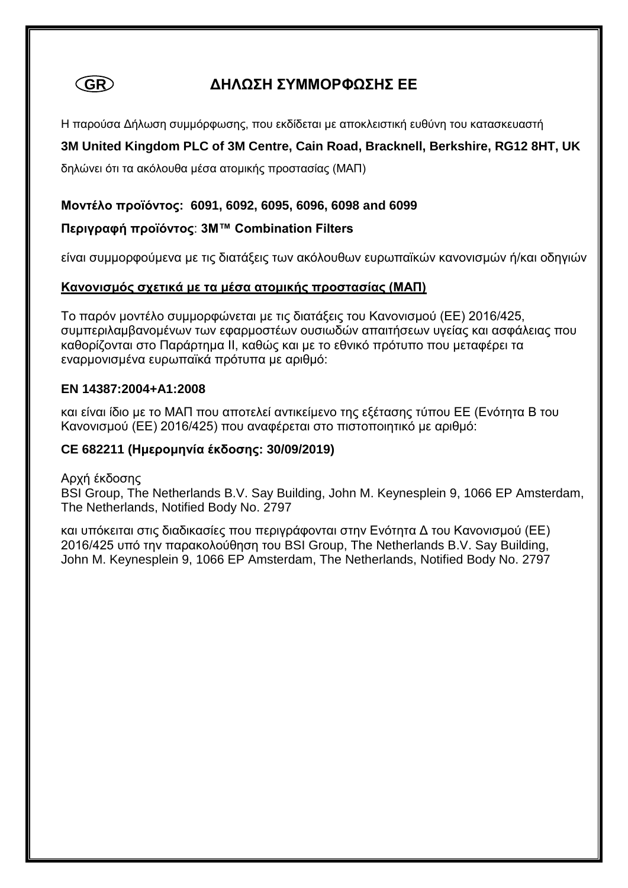

# **GR ΔΗΛΩΣΗ ΣΥΜΜΟΡΦΩΣΗΣ ΕΕ**

Η παρούσα Δήλωση συμμόρφωσης, που εκδίδεται με αποκλειστική ευθύνη του κατασκευαστή

# **3M United Kingdom PLC of 3M Centre, Cain Road, Bracknell, Berkshire, RG12 8HT, UK**

δηλώνει ότι τα ακόλουθα μέσα ατομικής προστασίας (ΜΑΠ)

#### **Μοντέλο προϊόντος: 6091, 6092, 6095, 6096, 6098 and 6099**

#### **Περιγραφή προϊόντος**: **3M™ Combination Filters**

είναι συμμορφούμενα με τις διατάξεις των ακόλουθων ευρωπαϊκών κανονισμών ή/και οδηγιών

#### **Κανονισμός σχετικά με τα μέσα ατομικής προστασίας (ΜΑΠ)**

Το παρόν μοντέλο συμμορφώνεται με τις διατάξεις του Κανονισμού (ΕΕ) 2016/425, συμπεριλαμβανομένων των εφαρμοστέων ουσιωδών απαιτήσεων υγείας και ασφάλειας που καθορίζονται στο Παράρτημα ΙΙ, καθώς και με το εθνικό πρότυπο που μεταφέρει τα εναρμονισμένα ευρωπαϊκά πρότυπα με αριθμό:

#### **EN 14387:2004+A1:2008**

και είναι ίδιο με το ΜΑΠ που αποτελεί αντικείμενο της εξέτασης τύπου ΕΕ (Ενότητα Β του Κανονισμού (ΕΕ) 2016/425) που αναφέρεται στο πιστοποιητικό με αριθμό:

### **CE 682211 (Ημερομηνία έκδοσης: 30/09/2019)**

# Αρχή έκδοσης

BSI Group, The Netherlands B.V. Say Building, John M. Keynesplein 9, 1066 EP Amsterdam, The Netherlands, Notified Body No. 2797

και υπόκειται στις διαδικασίες που περιγράφονται στην Ενότητα Δ του Κανονισμού (ΕΕ) 2016/425 υπό την παρακολούθηση του BSI Group, The Netherlands B.V. Say Building, John M. Keynesplein 9, 1066 EP Amsterdam, The Netherlands, Notified Body No. 2797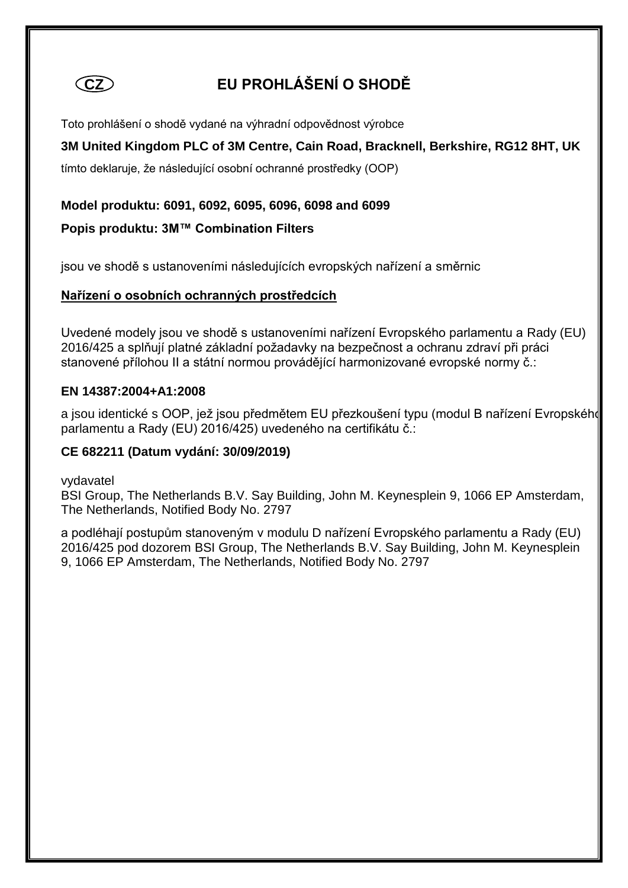

# **CZ EU PROHLÁŠENÍ O SHODĚ**

Toto prohlášení o shodě vydané na výhradní odpovědnost výrobce

# **3M United Kingdom PLC of 3M Centre, Cain Road, Bracknell, Berkshire, RG12 8HT, UK**

tímto deklaruje, že následující osobní ochranné prostředky (OOP)

### **Model produktu: 6091, 6092, 6095, 6096, 6098 and 6099**

### **Popis produktu: 3M™ Combination Filters**

jsou ve shodě s ustanoveními následujících evropských nařízení a směrnic

#### **Nařízení o osobních ochranných prostředcích**

Uvedené modely jsou ve shodě s ustanoveními nařízení Evropského parlamentu a Rady (EU) 2016/425 a splňují platné základní požadavky na bezpečnost a ochranu zdraví při práci stanovené přílohou II a státní normou provádějící harmonizované evropské normy č.:

#### **EN 14387:2004+A1:2008**

a jsou identické s OOP, jež jsou předmětem EU přezkoušení typu (modul B nařízení Evropského parlamentu a Rady (EU) 2016/425) uvedeného na certifikátu č.:

#### **CE 682211 (Datum vydání: 30/09/2019)**

vydavatel

BSI Group, The Netherlands B.V. Say Building, John M. Keynesplein 9, 1066 EP Amsterdam, The Netherlands, Notified Body No. 2797

a podléhají postupům stanoveným v modulu D nařízení Evropského parlamentu a Rady (EU) 2016/425 pod dozorem BSI Group, The Netherlands B.V. Say Building, John M. Keynesplein 9, 1066 EP Amsterdam, The Netherlands, Notified Body No. 2797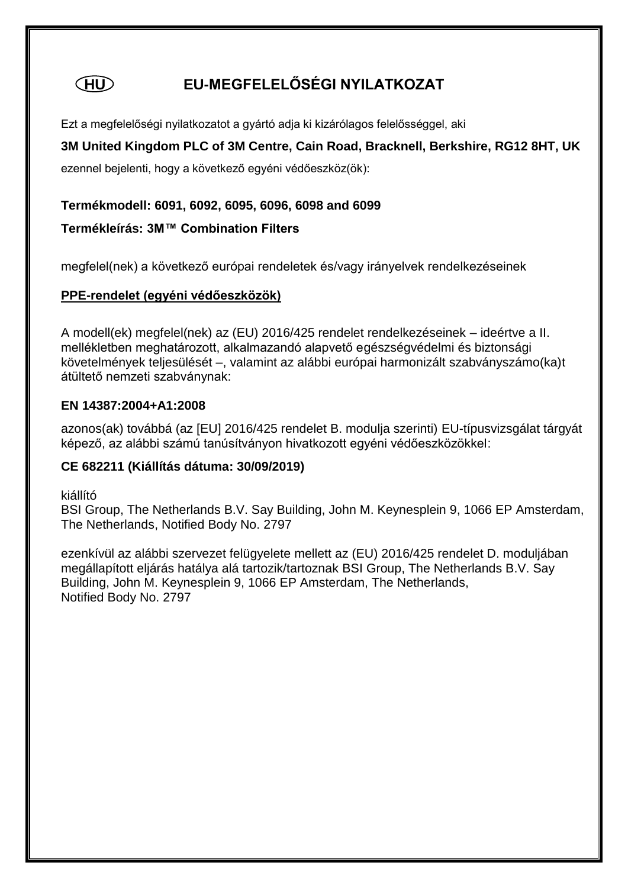# **HU EU-MEGFELELŐSÉGI NYILATKOZAT**

Ezt a megfelelőségi nyilatkozatot a gyártó adja ki kizárólagos felelősséggel, aki

# **3M United Kingdom PLC of 3M Centre, Cain Road, Bracknell, Berkshire, RG12 8HT, UK**

ezennel bejelenti, hogy a következő egyéni védőeszköz(ök):

#### **Termékmodell: 6091, 6092, 6095, 6096, 6098 and 6099**

### **Termékleírás: 3M™ Combination Filters**

megfelel(nek) a következő európai rendeletek és/vagy irányelvek rendelkezéseinek

#### **PPE-rendelet (egyéni védőeszközök)**

A modell(ek) megfelel(nek) az (EU) 2016/425 rendelet rendelkezéseinek – ideértve a II. mellékletben meghatározott, alkalmazandó alapvető egészségvédelmi és biztonsági követelmények teljesülését –, valamint az alábbi európai harmonizált szabványszámo(ka)t átültető nemzeti szabványnak:

#### **EN 14387:2004+A1:2008**

azonos(ak) továbbá (az [EU] 2016/425 rendelet B. modulja szerinti) EU-típusvizsgálat tárgyát képező, az alábbi számú tanúsítványon hivatkozott egyéni védőeszközökkel:

#### **CE 682211 (Kiállítás dátuma: 30/09/2019)**

kiállító

BSI Group, The Netherlands B.V. Say Building, John M. Keynesplein 9, 1066 EP Amsterdam, The Netherlands, Notified Body No. 2797

ezenkívül az alábbi szervezet felügyelete mellett az (EU) 2016/425 rendelet D. moduljában megállapított eljárás hatálya alá tartozik/tartoznak BSI Group, The Netherlands B.V. Say Building, John M. Keynesplein 9, 1066 EP Amsterdam, The Netherlands, Notified Body No. 2797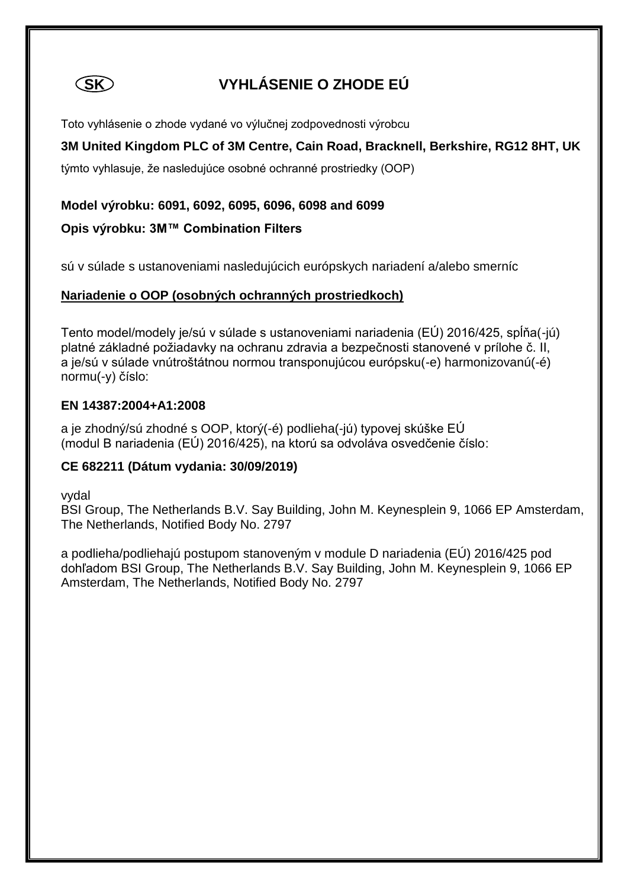

# **SK VYHLÁSENIE O ZHODE EÚ**

Toto vyhlásenie o zhode vydané vo výlučnej zodpovednosti výrobcu

# **3M United Kingdom PLC of 3M Centre, Cain Road, Bracknell, Berkshire, RG12 8HT, UK**

týmto vyhlasuje, že nasledujúce osobné ochranné prostriedky (OOP)

### **Model výrobku: 6091, 6092, 6095, 6096, 6098 and 6099**

# **Opis výrobku: 3M™ Combination Filters**

sú v súlade s ustanoveniami nasledujúcich európskych nariadení a/alebo smerníc

#### **Nariadenie o OOP (osobných ochranných prostriedkoch)**

Tento model/modely je/sú v súlade s ustanoveniami nariadenia (EÚ) 2016/425, spĺňa(-jú) platné základné požiadavky na ochranu zdravia a bezpečnosti stanovené v prílohe č. II, a je/sú v súlade vnútroštátnou normou transponujúcou európsku(-e) harmonizovanú(-é) normu(-y) číslo:

#### **EN 14387:2004+A1:2008**

a je zhodný/sú zhodné s OOP, ktorý(-é) podlieha(-jú) typovej skúške EÚ (modul B nariadenia (EÚ) 2016/425), na ktorú sa odvoláva osvedčenie číslo:

# **CE 682211 (Dátum vydania: 30/09/2019)**

vydal

BSI Group, The Netherlands B.V. Say Building, John M. Keynesplein 9, 1066 EP Amsterdam, The Netherlands, Notified Body No. 2797

a podlieha/podliehajú postupom stanoveným v module D nariadenia (EÚ) 2016/425 pod dohľadom BSI Group, The Netherlands B.V. Say Building, John M. Keynesplein 9, 1066 EP Amsterdam, The Netherlands, Notified Body No. 2797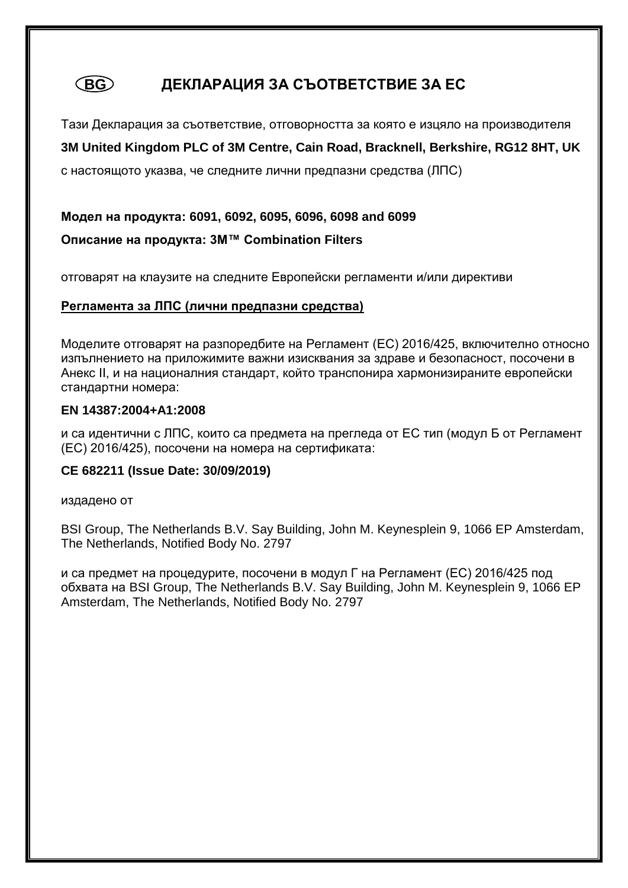# **BG ДЕКЛАРАЦИЯ ЗА СЪОТВЕТСТВИЕ ЗА ЕС**

Тази Декларация за съответствие, отговорността за която е изцяло на производителя **3M United Kingdom PLC of 3M Centre, Cain Road, Bracknell, Berkshire, RG12 8HT, UK** 

с настоящото указва, че следните лични предпазни средства (ЛПС)

**Модел на продукта: 6091, 6092, 6095, 6096, 6098 and 6099 Описание на продукта: 3M™ Combination Filters**

отговарят на клаузите на следните Европейски регламенти и/или директиви

#### **Регламента за ЛПС (лични предпазни средства)**

Моделите отговарят на разпоредбите на Регламент (ЕС) 2016/425, включително относно изпълнението на приложимите важни изисквания за здраве и безопасност, посочени в Анекс II, и на националния стандарт, който транспонира хармонизираните европейски стандартни номера:

#### **EN 14387:2004+A1:2008**

и са идентични с ЛПС, които са предмета на прегледа от ЕС тип (модул Б от Регламент (ЕС) 2016/425), посочени на номера на сертификата:

#### **CE 682211 (Issue Date: 30/09/2019)**

издадено от

BSI Group, The Netherlands B.V. Say Building, John M. Keynesplein 9, 1066 EP Amsterdam, The Netherlands, Notified Body No. 2797

и са предмет на процедурите, посочени в модул Г на Регламент (ЕС) 2016/425 под обхвата на BSI Group, The Netherlands B.V. Say Building, John M. Keynesplein 9, 1066 EP Amsterdam, The Netherlands, Notified Body No. 2797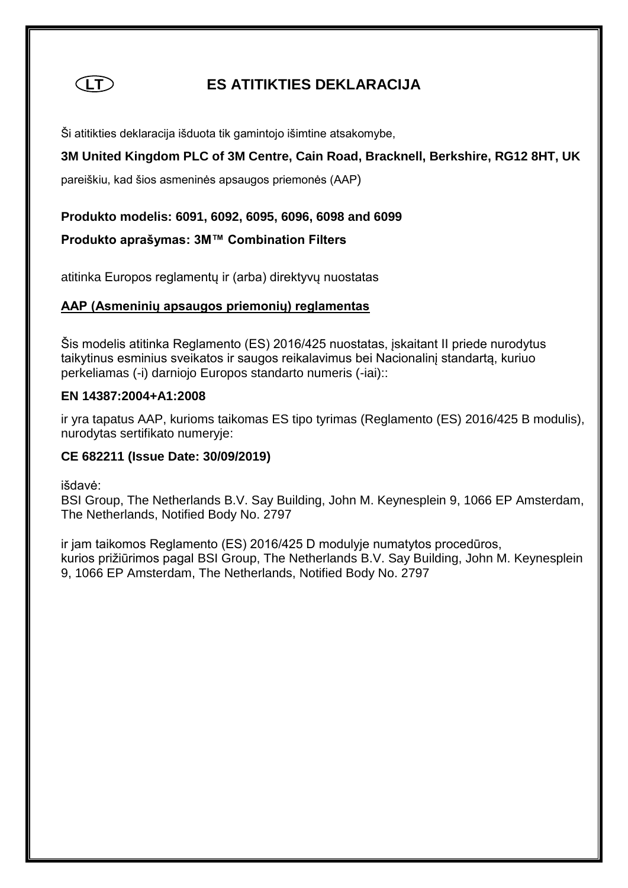

# **LT ES ATITIKTIES DEKLARACIJA**

Ši atitikties deklaracija išduota tik gamintojo išimtine atsakomybe,

# **3M United Kingdom PLC of 3M Centre, Cain Road, Bracknell, Berkshire, RG12 8HT, UK**

pareiškiu, kad šios asmeninės apsaugos priemonės (AAP)

#### **Produkto modelis: 6091, 6092, 6095, 6096, 6098 and 6099**

#### **Produkto aprašymas: 3M™ Combination Filters**

atitinka Europos reglamentų ir (arba) direktyvų nuostatas

# **AAP (Asmeninių apsaugos priemonių) reglamentas**

Šis modelis atitinka Reglamento (ES) 2016/425 nuostatas, įskaitant II priede nurodytus taikytinus esminius sveikatos ir saugos reikalavimus bei Nacionalinį standartą, kuriuo perkeliamas (-i) darniojo Europos standarto numeris (-iai)::

#### **EN 14387:2004+A1:2008**

ir yra tapatus AAP, kurioms taikomas ES tipo tyrimas (Reglamento (ES) 2016/425 B modulis), nurodytas sertifikato numeryje:

# **CE 682211 (Issue Date: 30/09/2019)**

išdavė:

BSI Group, The Netherlands B.V. Say Building, John M. Keynesplein 9, 1066 EP Amsterdam, The Netherlands, Notified Body No. 2797

ir jam taikomos Reglamento (ES) 2016/425 D modulyje numatytos procedūros, kurios prižiūrimos pagal BSI Group, The Netherlands B.V. Say Building, John M. Keynesplein 9, 1066 EP Amsterdam, The Netherlands, Notified Body No. 2797